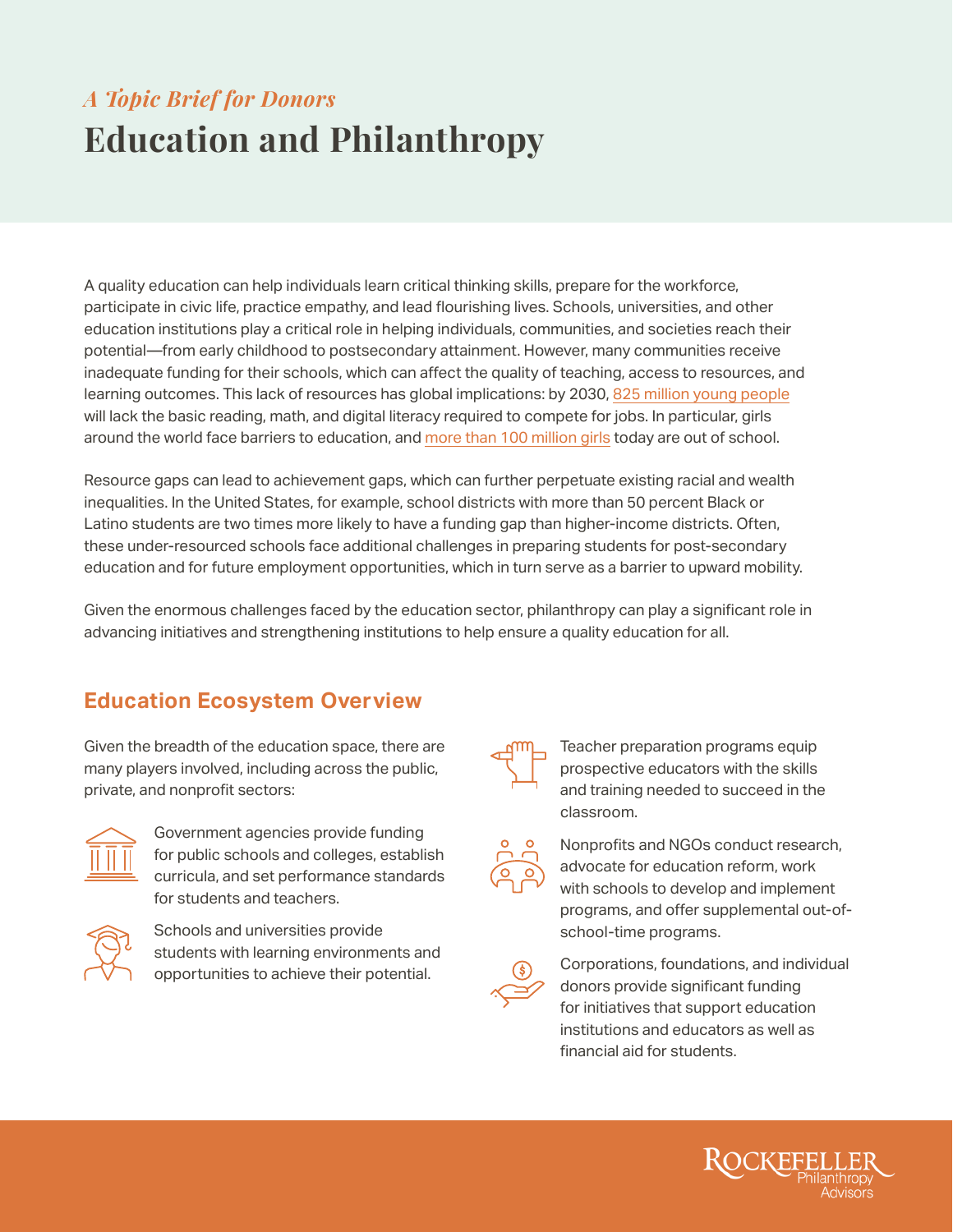# **Education and Philanthropy** *A Topic Brief for Donors*

A quality education can help individuals learn critical thinking skills, prepare for the workforce, participate in civic life, practice empathy, and lead flourishing lives. Schools, universities, and other education institutions play a critical role in helping individuals, communities, and societies reach their potential—from early childhood to postsecondary attainment. However, many communities receive inadequate funding for their schools, which can affect the quality of teaching, access to resources, and learning outcomes. This lack of resources has global implications: by 2030, [825 million young people](https://files.eric.ed.gov/fulltext/ED543776.pdf) will lack the basic reading, math, and digital literacy required to compete for jobs. In particular, girls around the world face barriers to education, and [more than 100 million girls](https://www.unicef.org/education/girls-education) today are out of school.

Resource gaps can lead to achievement gaps, which can further perpetuate existing racial and wealth inequalities. In the United States, for example, school districts with more than 50 percent Black or Latino students are two times more likely to have a funding gap than higher-income districts. Often, these under-resourced schools face additional challenges in preparing students for post-secondary education and for future employment opportunities, which in turn serve as a barrier to upward mobility.

Given the enormous challenges faced by the education sector, philanthropy can play a significant role in advancing initiatives and strengthening institutions to help ensure a quality education for all.

#### **Education Ecosystem Overview**

Given the breadth of the education space, there are many players involved, including across the public, private, and nonprofit sectors:



Government agencies provide funding for public schools and colleges, establish curricula, and set performance standards for students and teachers.



Schools and universities provide students with learning environments and opportunities to achieve their potential.



Teacher preparation programs equip prospective educators with the skills and training needed to succeed in the classroom.



Nonprofits and NGOs conduct research, advocate for education reform, work with schools to develop and implement programs, and offer supplemental out-ofschool-time programs.



Corporations, foundations, and individual donors provide significant funding for initiatives that support education institutions and educators as well as financial aid for students.

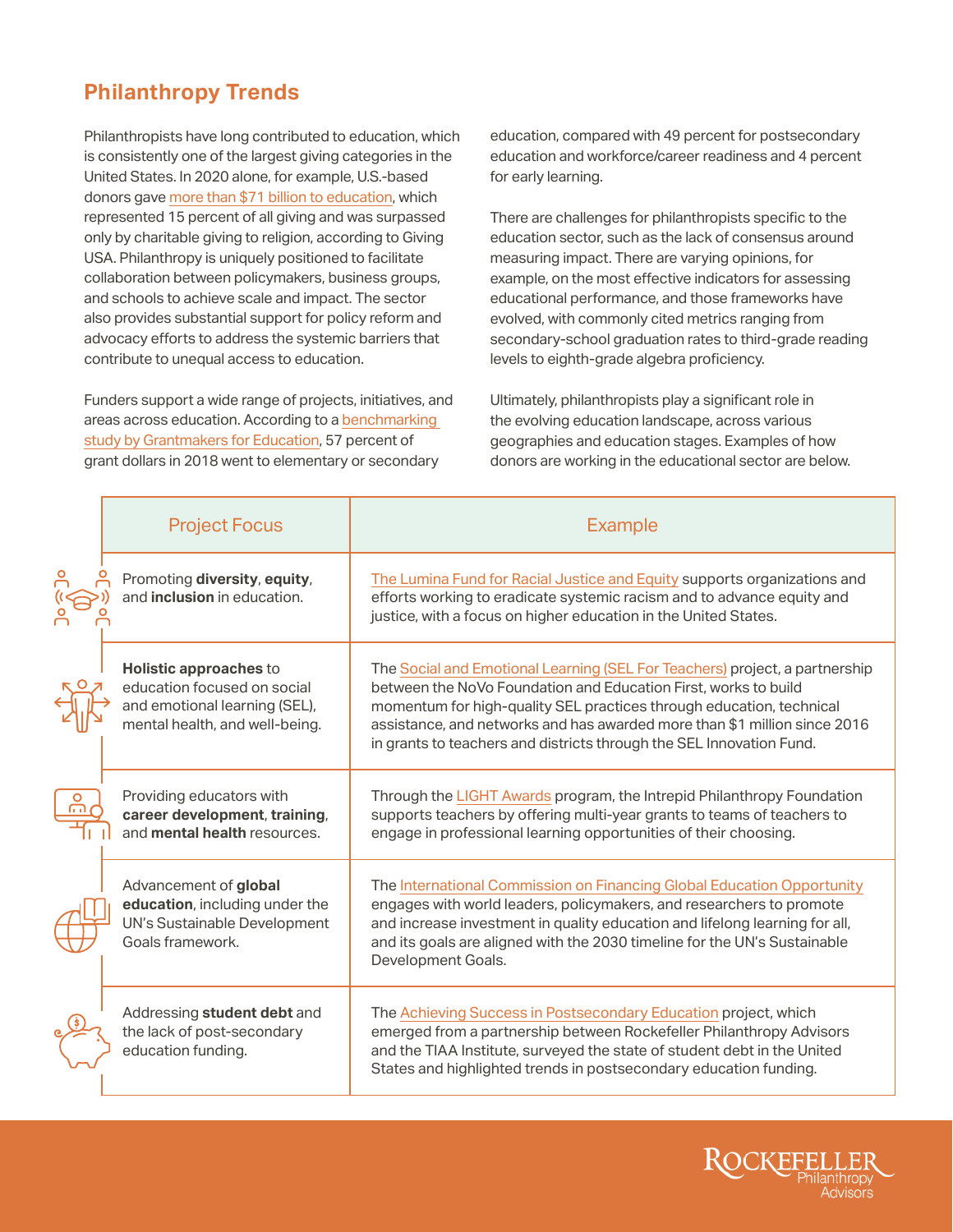## **Philanthropy Trends**

Philanthropists have long contributed to education, which is consistently one of the largest giving categories in the United States. In 2020 alone, for example, U.S.-based donors gave [more than \\$71 billion to education](https://philanthropynetwork.org/news/giving-usa-2021-year-unprecedented-events-and-challenges-charitable-giving-reached-record-47144), which represented 15 percent of all giving and was surpassed only by charitable giving to religion, according to Giving USA. Philanthropy is uniquely positioned to facilitate collaboration between policymakers, business groups, and schools to achieve scale and impact. The sector also provides substantial support for policy reform and advocacy efforts to address the systemic barriers that contribute to unequal access to education.

Funders support a wide range of projects, initiatives, and areas across education. According to a [benchmarking](https://edfunders.org/trends2018-19)  [study by Grantmakers for Education](https://edfunders.org/trends2018-19), 57 percent of grant dollars in 2018 went to elementary or secondary

education, compared with 49 percent for postsecondary education and workforce/career readiness and 4 percent for early learning.

There are challenges for philanthropists specific to the education sector, such as the lack of consensus around measuring impact. There are varying opinions, for example, on the most effective indicators for assessing educational performance, and those frameworks have evolved, with commonly cited metrics ranging from secondary-school graduation rates to third-grade reading levels to eighth-grade algebra proficiency.

Ultimately, philanthropists play a significant role in the evolving education landscape, across various geographies and education stages. Examples of how donors are working in the educational sector are below.

| <b>Project Focus</b>                                                                                                     | <b>Example</b>                                                                                                                                                                                                                                                                                                                                                              |
|--------------------------------------------------------------------------------------------------------------------------|-----------------------------------------------------------------------------------------------------------------------------------------------------------------------------------------------------------------------------------------------------------------------------------------------------------------------------------------------------------------------------|
| Promoting diversity, equity,<br>and inclusion in education.                                                              | The Lumina Fund for Racial Justice and Equity supports organizations and<br>efforts working to eradicate systemic racism and to advance equity and<br>justice, with a focus on higher education in the United States.                                                                                                                                                       |
| Holistic approaches to<br>education focused on social<br>and emotional learning (SEL),<br>mental health, and well-being. | The Social and Emotional Learning (SEL For Teachers) project, a partnership<br>between the NoVo Foundation and Education First, works to build<br>momentum for high-quality SEL practices through education, technical<br>assistance, and networks and has awarded more than \$1 million since 2016<br>in grants to teachers and districts through the SEL Innovation Fund. |
| Providing educators with<br>career development, training,<br>and mental health resources.                                | Through the LIGHT Awards program, the Intrepid Philanthropy Foundation<br>supports teachers by offering multi-year grants to teams of teachers to<br>engage in professional learning opportunities of their choosing.                                                                                                                                                       |
| Advancement of global<br>education, including under the<br>UN's Sustainable Development<br>Goals framework.              | The International Commission on Financing Global Education Opportunity<br>engages with world leaders, policymakers, and researchers to promote<br>and increase investment in quality education and lifelong learning for all,<br>and its goals are aligned with the 2030 timeline for the UN's Sustainable<br>Development Goals.                                            |
| Addressing student debt and<br>the lack of post-secondary<br>education funding.                                          | The Achieving Success in Postsecondary Education project, which<br>emerged from a partnership between Rockefeller Philanthropy Advisors<br>and the TIAA Institute, surveyed the state of student debt in the United<br>States and highlighted trends in postsecondary education funding.                                                                                    |